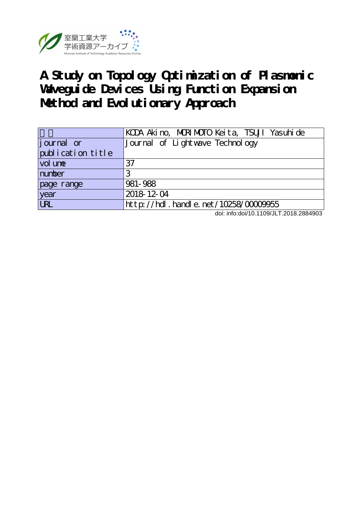

## **A Study on Topology Optimization of Plasmonic Waveguide Devices Using Function Expansion Method and Evolutionary Approach**

|                   | KODA Akino, MORIMOTO Keita, TSUJI Yasuhide    |
|-------------------|-----------------------------------------------|
| journal or        | Journal of Lightwave Technology               |
| publication title |                                               |
| vol une           | 37                                            |
| number            | З                                             |
| page range        | 981-988                                       |
| year<br>URL       | 2018 12 04                                    |
|                   | $ht$ t p: //hdl. handl e. net /10258/00009955 |

doi: info:doi/10.1109/JLT.2018.2884903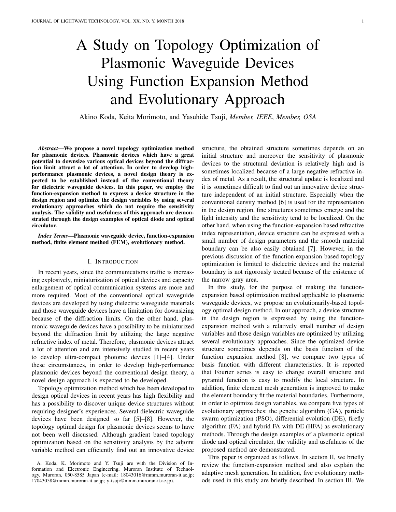# A Study on Topology Optimization of Plasmonic Waveguide Devices Using Function Expansion Method and Evolutionary Approach

Akino Koda, Keita Morimoto, and Yasuhide Tsuji, *Member, IEEE*, *Member, OSA*

*Abstract*—We propose a novel topology optimization method for plasmonic devices. Plasmonic devices which have a great potential to downsize various optical devices beyond the diffraction limit attract a lot of attention. In order to develop highperformance plasmonic devices, a novel design theory is expected to be established instead of the conventional theory for dielectric waveguide devices. In this paper, we employ the function-expansion method to express a device structure in the design region and optimize the design variables by using several evolutionary approaches which do not require the sensitivity analysis. The validity and usefulness of this approach are demonstrated through the design examples of optical diode and optical circulator.

*Index Terms*—Plasmonic waveguide device, function-expansion method, finite element method (FEM), evolutionary method.

### I. INTRODUCTION

In recent years, since the communications traffic is increasing explosively, miniaturization of optical devices and capacity enlargement of optical communication systems are more and more required. Most of the conventional optical waveguide devices are developed by using dielectric waveguide materials and those waveguide devices have a limitation for downsizing because of the diffraction limits. On the other hand, plasmonic waveguide devices have a possibility to be miniaturized beyond the diffraction limit by utilizing the large negative refractive index of metal. Therefore, plasmonic devices attract a lot of attention and are intensively studied in recent years to develop ultra-compact photonic devices [1]–[4]. Under these circumstances, in order to develop high-performance plasmonic devices beyond the conventional design theory, a novel design approach is expected to be developed.

Topology optimization method which has been developed to design optical devices in recent years has high flexibility and has a possibility to discover unique device structures without requiring designer's experiences. Several dielectric waveguide devices have been designed so far [5]–[8]. However, the topology optimal design for plasmonic devices seems to have not been well discussed. Although gradient based topology optimization based on the sensitivity analysis by the adjoint variable method can efficiently find out an innovative device structure, the obtained structure sometimes depends on an initial structure and moreover the sensitivity of plasmonic devices to the structural deviation is relatively high and is sometimes localized because of a large negative refractive index of metal. As a result, the structural update is localized and it is sometimes difficult to find out an innovative device structure independent of an initial structure. Especially when the conventional density method [6] is used for the representation in the design region, fine structures sometimes emerge and the light intensity and the sensitivity tend to be localized. On the other hand, when using the function-expansion based refractive index representation, device structure can be expressed with a small number of design parameters and the smooth material boundary can be also easily obtained [7]. However, in the previous discussion of the function-expansion based topology optimization is limited to dielectric devices and the material boundary is not rigorously treated because of the existence of the narrow gray area.

In this study, for the purpose of making the functionexpansion based optimization method applicable to plasmonic waveguide devices, we propose an evolutionarily-based topology optimal design method. In our approach, a device structure in the design region is expressed by using the functionexpansion method with a relatively small number of design variables and those design variables are optimized by utilizing several evolutionary approaches. Since the optimized device structure sometimes depends on the basis function of the function expansion method [8], we compare two types of basis function with different characteristics. It is reported that Fourier series is easy to change overall structure and pyramid function is easy to modify the local structure. In addition, finite element mesh generation is improved to make the element boundary fit the material boundaries. Furthermore, in order to optimize design variables, we compare five types of evolutionary approaches: the genetic algorithm (GA), particle swarm optimization (PSO), differential evolution (DE), firefly algorithm (FA) and hybrid FA with DE (HFA) as evolutionary methods. Through the design examples of a plasmonic optical diode and optical circulator, the validity and usefulness of the proposed method are demonstrated.

This paper is organized as follows. In section II, we briefly review the function-expansion method and also explain the adaptive mesh generation. In addition, five evolutionary methods used in this study are briefly described. In section III, We

A. Koda, K. Morimoto and Y. Tsuji are with the Division of Information and Electronic Engineering, Muroran Institute of Technology, Muroran, 050-8585 Japan (e-mail: 18043016@mmm.muroran-it.ac.jp; 17043058@mmm.muroran-it.ac.jp; y-tsuji@mmm.muroran-it.ac.jp).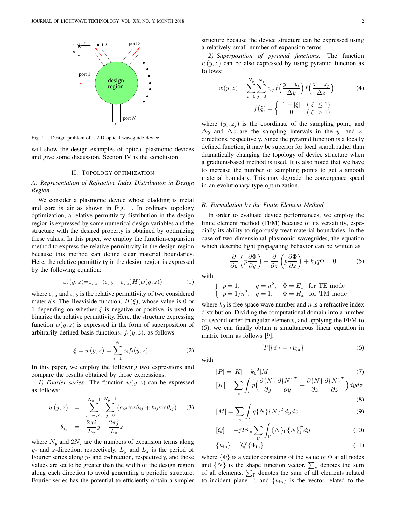

Fig. 1. Design problem of a 2-D optical waveguide device.

will show the design examples of optical plasmonic devices and give some discussion. Section IV is the conclusion.

## II. TOPOLOGY OPTIMIZATION

*A. Representation of Refractive Index Distribution in Design Region*

We consider a plasmonic device whose cladding is metal and core is air as shown in Fig. 1. In ordinary topology optimization, a relative permittivity distribution in the design region is expressed by some numerical design variables and the structure with the desired property is obtained by optimizing these values. In this paper, we employ the function-expansion method to express the relative permittivity in the design region because this method can define clear material boundaries. Here, the relative permittivity in the design region is expressed by the following equation:

$$
\varepsilon_r(y, z) = \varepsilon_{ra} + (\varepsilon_{rb} - \varepsilon_{ra}) H(w(y, z)) \tag{1}
$$

where  $\varepsilon_{ra}$  and  $\varepsilon_{rb}$  is the relative permittivity of two considered materials. The Heaviside function,  $H(\xi)$ , whose value is 0 or 1 depending on whether  $\xi$  is negative or positive, is used to binarize the relative permittivity. Here, the structure expressing function  $w(y, z)$  is expressed in the form of superposition of arbitrarily defined basis functions,  $f_i(y, z)$ , as follows:

$$
\xi = w(y, z) = \sum_{i=1}^{N} c_i f_i(y, z) .
$$
 (2)

In this paper, we employ the following two expressions and compare the results obtained by those expressions.

*1) Fourier series:* The function *w*(*y, z*) can be expressed as follows:

$$
w(y, z) = \sum_{i=-N_z}^{N_z-1} \sum_{j=0}^{N_y-1} (a_{ij}\cos\theta_{ij} + b_{ij}\sin\theta_{ij})
$$
 (3)  

$$
\theta_{ij} = \frac{2\pi i}{L_y}y + \frac{2\pi j}{L_z}z
$$

where  $N_y$  and  $2N_z$  are the numbers of expansion terms along *y*- and *z*-direction, respectively.  $L_y$  and  $L_z$  is the period of Fourier series along *y*- and *z*-direction, respectively, and those values are set to be greater than the width of the design region along each direction to avoid generating a periodic structure. Fourier series has the potential to efficiently obtain a simpler structure because the device structure can be expressed using a relatively small number of expansion terms.

*2) Superposition of pyramid functions:* The function  $w(y, z)$  can be also expressed by using pyramid function as follows:

$$
w(y, z) = \sum_{i=0}^{N_y} \sum_{j=0}^{N_z} c_{ij} f\left(\frac{y - y_i}{\Delta y}\right) f\left(\frac{z - z_j}{\Delta z}\right)
$$
(4)  

$$
f(\xi) = \begin{cases} 1 - |\xi| & (|\xi| \le 1) \\ 0 & (|\xi| > 1) \end{cases}
$$

where  $(y_i, z_j)$  is the coordinate of the sampling point, and ∆*y* and ∆*z* are the sampling intervals in the *y*- and *z*directions, respectively. Since the pyramid function is a locally defined function, it may be superior for local search rather than dramatically changing the topology of device structure when a gradient-based method is used. It is also noted that we have to increase the number of sampling points to get a smooth material boundary. This may degrade the convergence speed in an evolutionary-type optimization.

## *B. Formulation by the Finite Element Method*

In order to evaluate device performances, we employ the finite element method (FEM) because of its versatility, especially its ability to rigorously treat material boundaries. In the case of two-dimensional plasmonic waveguides, the equation which describe light propagating behavior can be written as

$$
\frac{\partial}{\partial y}\left(p\frac{\partial \Phi}{\partial y}\right) + \frac{\partial}{\partial z}\left(p\frac{\partial \Phi}{\partial z}\right) + k_0 q \Phi = 0 \tag{5}
$$

with

$$
\begin{cases}\n p = 1, & q = n^2, \quad \Phi = E_x \text{ for TE mode} \\
p = 1/n^2, & q = 1, \quad \Phi = H_x \text{ for TM mode}\n\end{cases}
$$

where  $k_0$  is free space wave number and  $n$  is a refractive index distribution. Dividing the computational domain into a number of second order triangular elements, and applying the FEM to (5), we can finally obtain a simultaneous linear equation in matrix form as follows [9]:

$$
[P]\{\phi\} = \{u_{\rm in}\}\tag{6}
$$

with

$$
[P] = [K] - k_0^2 [M]
$$
  
\n
$$
[K] = \sum_e \int_e p \left( \frac{\partial \{N\}}{\partial y} \frac{\partial \{N\}^T}{\partial y} + \frac{\partial \{N\}}{\partial z} \frac{\partial \{N\}^T}{\partial z} \right) dy dz
$$
\n(7)

$$
- (8)
$$

$$
[M] = \sum_{e} \int_{e} q\{N\} \{N\}^{T} dy dz
$$
\n(9)

$$
[Q] = -j2\beta_{\rm in} \sum_{\Gamma} \int_{\Gamma} \{N\}_{\Gamma} \{N\}_{\Gamma}^T dy \qquad (10)
$$

$$
\{u_{\rm in}\} = [Q]\{\Phi_{\rm in}\}\tag{11}
$$

where  $\{\Phi\}$  is a vector consisting of the value of  $\Phi$  at all nodes and  $\{N\}$  is the shape function vector.  $\sum_{e}$  denotes the sum of all elements,  $\sum_{\Gamma}$  denotes the sum of all elements related to incident plane Γ, and *{u*in*}* is the vector related to the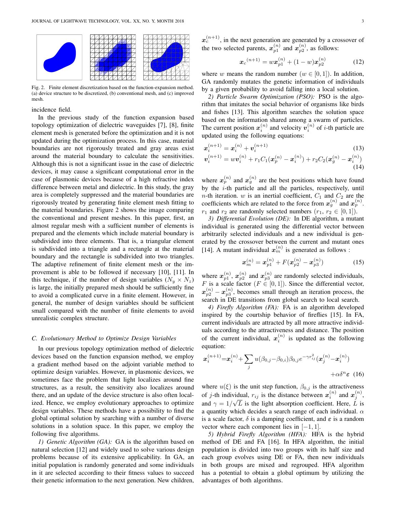

Fig. 2. Finite element discretization based on the function-expansion method. (a) device structure to be discretized, (b) conventional mesh, and (c) improved mesh.

incidence field.

In the previous study of the function expansion based topology optimization of dielectric waveguides [7], [8], finite element mesh is generated before the optimization and it is not updated during the optimization process. In this case, material boundaries are not rigorously treated and gray areas exist around the material boundary to calculate the sensitivities. Although this is not a significant issue in the case of dielectric devices, it may cause a significant computational error in the case of plasmonic devices because of a high refractive index difference between metal and dielectric. In this study, the gray area is completely suppressed and the material boundaries are rigorously treated by generating finite element mesh fitting to the material boundaries. Figure 2 shows the image comparing the conventional and present meshes. In this paper, first, an almost regular mesh with a sufficient number of elements is prepared and the elements which include material boundary is subdivided into three elements. That is, a triangular element is subdivided into a triangle and a rectangle at the material boundary and the rectangle is subdivided into two triangles. The adaptive refinement of finite element mesh or the improvement is able to be followed if necessary [10], [11]. In this technique, if the number of design variables  $(N_y \times N_z)$ is large, the initially prepared mesh should be sufficiently fine to avoid a complicated curve in a finite element. However, in general, the number of design variables should be sufficient small compared with the number of finite elements to avoid unrealistic complex structure.

## *C. Evolutionary Method to Optimize Design Variables*

In our previous topology optimization method of dielectric devices based on the function expansion method, we employ a gradient method based on the adjoint variable method to optimize design variables. However, in plasmonic devices, we sometimes face the problem that light localizes around fine structures, as a result, the sensitivity also localizes around there, and an update of the device structure is also often localized. Hence, we employ evolutionary approaches to optimize design variables. These methods have a possibility to find the global optimal solution by searching with a number of diverse solutions in a solution space. In this paper, we employ the following five algorithms.

*1) Genetic Algorithm (GA):* GA is the algorithm based on natural selection [12] and widely used to solve various design problems because of its extensive applicability. In GA, an initial population is randomly generated and some individuals in it are selected according to their fitness values to succeed their genetic information to the next generation. New children,  $x_c^{(n+1)}$ , in the next generation are generated by a crossover of the two selected parents,  $x_{p1}^{(n)}$  and  $x_{p2}^{(n)}$ , as follows:

$$
\boldsymbol{x}_c^{(n+1)} = w\boldsymbol{x}_{p1}^{(n)} + (1-w)\boldsymbol{x}_{p2}^{(n)}
$$
(12)

where *w* means the random number  $(w \in [0, 1])$ . In addition, GA randomly mutates the genetic information of individuals by a given probability to avoid falling into a local solution.

*2) Particle Swarm Optimization (PSO):* PSO is the algorithm that imitates the social behavior of organisms like birds and fishes [13]. This algorithm searches the solution space based on the information shared among a swarm of particles. The current position  $x_i^{(n)}$  and velocity  $v_i^{(n)}$  of *i*-th particle are updated using the following equations:

$$
\boldsymbol{x}_i^{(n+1)} = \boldsymbol{x}_i^{(n)} + \boldsymbol{v}_i^{(n+1)}
$$
(13)

$$
\boldsymbol{v}_i^{(n+1)} = w\boldsymbol{v}_i^{(n)} + r_1 C_1(\boldsymbol{x}_p^{(n)} - \boldsymbol{x}_i^{(n)}) + r_2 C_2(\boldsymbol{x}_g^{(n)} - \boldsymbol{x}_i^{(n)})
$$
\n(14)

where  $x_p^{(n)}$  and  $x_g^{(n)}$  are the best positions which have found by the *i*-th particle and all the particles, respectively, until *n*-th iteration. *w* is an inertial coefficient,  $C_1$  and  $C_2$  are the coefficients which are related to the force from  $x_g^{(n)}$  and  $x_p^{(n)}$ . *r*<sub>1</sub> and *r*<sub>2</sub> are randomly selected numbers  $(r_1, r_2 \in [0, 1]).$ 

*3) Differential Evolution (DE):* In DE algorithm, a mutant individual is generated using the differential vector between arbitrarily selected individuals and a new individual is generated by the crossover between the current and mutant ones [14]. A mutant individual  $x_m^{(n)}$  is generated as follows :

$$
\boldsymbol{x}_{m}^{(n)} = \boldsymbol{x}_{p1}^{(n)} + F(\boldsymbol{x}_{p2}^{(n)} - \boldsymbol{x}_{p3}^{(n)})
$$
(15)

where  $x_{p1}^{(n)}$ ,  $x_{p2}^{(n)}$  and  $x_{p3}^{(n)}$  are randomly selected individuals, *F* is a scale factor ( $F \in [0, 1]$ ). Since the differential vector,  $x_{p2}^{(n)} - x_{p3}^{(n)}$ , becomes small through an iteration process, the search in DE transitions from global search to local search.

*4) Firefly Algorithm (FA):* FA is an algorithm developed inspired by the courtship behavior of fireflies [15]. In FA, current individuals are attracted by all more attractive individuals according to the attractiveness and distance. The position of the current individual,  $x_i^{(n)}$  is updated as the following equation:

$$
\boldsymbol{x}_{i}^{(n+1)} = \boldsymbol{x}_{i}^{(n)} + \sum_{j} u(\beta_{0,j} - \beta_{0,i})\beta_{0,j}e^{-\gamma r_{ij}^{2}}(\boldsymbol{x}_{j}^{(n)} - \boldsymbol{x}_{i}^{(n)}) + \alpha \delta^{n} \boldsymbol{\varepsilon}
$$
(16)

where  $u(\xi)$  is the unit step function,  $\beta_{0,j}$  is the attractiveness of *j*-th individual,  $r_{ij}$  is the distance between  $x_i^{(n)}$  and  $x_j^{(n)}$ , and  $\gamma = 1/\sqrt{L}$  is the light absorption coefficient. Here, *L* is a quantity which decides a search range of each individual. *α* is a scale factor,  $\delta$  is a damping coefficient, and  $\varepsilon$  is a random vector where each component lies in [*−*1*,* 1].

*5) Hybrid Firefly Algorithm (HFA):* HFA is the hybrid method of DE and FA [16]. In HFA algorithm, the initial population is divided into two groups with its half size and each group evolves using DE or FA, then new individuals in both groups are mixed and regrouped. HFA algorithm has a potential to obtain a global optimum by utilizing the advantages of both algorithms.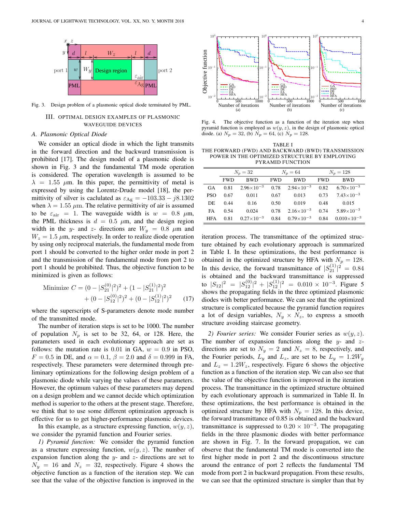

Fig. 3. Design problem of a plasmonic optical diode terminated by PML.

## III. OPTIMAL DESIGN EXAMPLES OF PLASMONIC WAVEGUIDE DEVICES

## *A. Plasmonic Optical Diode*

We consider an optical diode in which the light transmits in the forward direction and the backward transmission is prohibited [17]. The design model of a plasmonic diode is shown in Fig. 3 and the fundamental TM mode operation is considered. The operation wavelength is assumed to be  $\lambda$  = 1.55  $\mu$ m. In this paper, the permittivity of metal is expressed by using the Lorentz-Drude model [18], the permittivity of silver is caclulated as  $\varepsilon_{\text{Ag}} = -103.33 - j8.1302$ when  $\lambda = 1.55 \mu$ m. The relative permittivity of air is assumed to be  $\varepsilon_{\text{air}} = 1$ . The waveguide width is  $w = 0.8 \mu \text{m}$ , the PML thickness is  $d = 0.5$   $\mu$ m, and the design region width in the *y*- and *z*- directions are  $W_y = 0.8 \mu m$  and  $W_z = 1.5 \mu$ m, respectively. In order to realize diode operation by using only reciprocal materials, the fundamental mode from port 1 should be converted to the higher order mode in port 2 and the transmission of the fundamental mode from port 2 to port 1 should be prohibited. Thus, the objective function to be minimized is given as follows:

Minimize 
$$
C = (0 - |S_{21}^{(0)}|^2)^2 + (1 - |S_{21}^{(1)}|^2)^2
$$
  
  $+ (0 - |S_{12}^{(0)}|^2)^2 + (0 - |S_{12}^{(1)}|^2)^2$  (17)

where the superscripts of S-parameters denote mode number of the transmitted mode.

The number of iteration steps is set to be 1000. The number of population  $N_p$  is set to be 32, 64, or 128. Here, the parameters used in each evolutionary approach are set as follows: the mutation rate is  $0.01$  in GA,  $w = 0.9$  in PSO, *F* = 0.5 in DE, and  $\alpha = 0.1$ ,  $\beta = 2.0$  and  $\delta = 0.999$  in FA, respectively. These parameters were determined through preliminary optimizations for the following design problem of a plasmonic diode while varying the values of these parameters. However, the optimum values of these parameters may depend on a design problem and we cannot decide which optimization method is superior to the others at the present stage. Therefore, we think that to use some different optimization approach is effective for us to get higher-performance plasmonic devices.

In this example, as a structure expressing function,  $w(y, z)$ , we consider the pyramid function and Fourier series.

*1) Pyramid function:* We consider the pyramid function as a structure expressing function,  $w(y, z)$ . The number of expansion function along the *y*- and *z*- directions are set to  $N_y = 16$  and  $N_z = 32$ , respectively. Figure 4 shows the objective function as a function of the iteration step. We can see that the value of the objective function is improved in the



Fig. 4. The objective function as a function of the iteration step when pyramid function is employed as  $w(y, z)$ , in the design of plasmonic optical diode. (a)  $N_p = 32$ , (b)  $N_p = 64$ , (c)  $N_p = 128$ .

| TABLE I                                           |
|---------------------------------------------------|
| THE FORWARD (FWD) AND BACKWARD (BWD) TRANSMISSION |
| POWER IN THE OPTIMIZED STRUCTURE BY EMPLOYING     |
| <b>PYRAMID FUNCTION</b>                           |

|            | $N_p = 32$ |                       | $N_n = 64$ |                       | $N_n = 128$ |                      |
|------------|------------|-----------------------|------------|-----------------------|-------------|----------------------|
|            | <b>FWD</b> | <b>BWD</b>            | <b>FWD</b> | <b>BWD</b>            | <b>FWD</b>  | <b>BWD</b>           |
| GA         | 0.81       | $2.96 \times 10^{-3}$ | 0.78       | $2.94 \times 10^{-3}$ | 0.82        | $6.70\times10^{-3}$  |
| <b>PSO</b> | 0.67       | 0.011                 | 0.67       | 0.013                 | 0.73        | $7.43\times10^{-3}$  |
| DE         | 0.44       | 0.16                  | 0.50       | 0.019                 | 0.48        | 0.015                |
| FA         | 0.54       | 0.024                 | 0.78       | $2.16\times10^{-3}$   | 0.74        | $5.89\times10^{-3}$  |
| <b>HFA</b> | 0.81       | $0.27\times10^{-3}$   | 0.84       | $0.79 \times 10^{-3}$ | 0.84        | $0.010\times10^{-3}$ |

iteration process. The transmittance of the optimized structure obtained by each evolutionary approach is summarized in Table I. In these optimizations, the best performance is obtained in the optimized structure by HFA with  $N_p = 128$ . In this device, the forward transmittance of  $|S_{21}^{(1)}|^2 = 0.84$ is obtained and the backward transmittance is suppressed to  $|S_{12}|^2 = |S_{12}^{(0)}|^2 + |S_{12}^{(1)}|^2 = 0.010 \times 10^{-3}$ . Figure 5 shows the propagating fields in the three optimized plasmonic diodes with better performance. We can see that the optimized structure is complicated because the pyramid function requires a lot of design variables,  $N_y \times N_z$ , to express a smooth structure avoiding staircase geometry.

*2) Fourier series:* We consider Fourier series as *w*(*y, z*). The number of expansion functions along the *y*- and *z*directions are set to  $N_y = 2$  and  $N_z = 8$ , respectively, and the Fourier periods,  $L_y$  and  $L_z$ , are set to be  $L_y = 1.2W_y$ and  $L_z = 1.2W_z$ , respectively. Figure 6 shows the objective function as a function of the iteration step. We can also see that the value of the objective function is improved in the iteration process. The transmittance in the optimized structure obtained by each evolutionary approach is summarized in Table II. In these optimizations, the best performance is obtained in the optimized structure by HFA with  $N_p = 128$ . In this device, the forward transmittance of 0.85 is obtained and the backward transmittance is suppressed to 0*.*20 *×* 10*−*<sup>3</sup> . The propagating fields in the three plasmonic diodes with better performance are shown in Fig. 7. In the forward propagation, we can observe that the fundamental TM mode is converted into the first higher mode in port 2 and the discontinuous structure around the entrance of port 2 reflects the fundamental TM mode from port 2 in backward propagation. From these results, we can see that the optimized structure is simpler than that by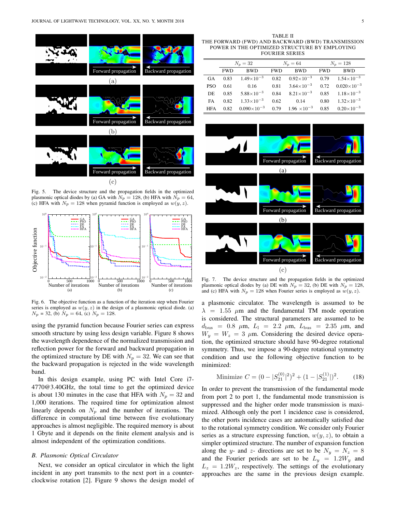

Fig. 5. The device structure and the propagation fields in the optimized plasmonic optical diodes by (a) GA with  $N_p = 128$ , (b) HFA with  $N_p = 64$ , (c) HFA with  $N_p = 128$  when pyramid function is employed as  $w(y, z)$ .



Fig. 6. The objective function as a function of the iteration step when Fourier series is employed as  $w(y, z)$  in the design of a plasmonic optical diode. (a)  $N_p = 32$ , (b)  $N_p = 64$ , (c)  $N_p = 128$ .

using the pyramid function because Fourier series can express smooth structure by using less design variable. Figure 8 shows the wavelength dependence of the normalized transmission and reflection power for the forward and backward propagation in the optimized structure by DE with  $N_p = 32$ . We can see that the backward propagation is rejected in the wide wavelength band.

In this design example, using PC with Intel Core i7- 4770@3.40GHz, the total time to get the optimized device is about 130 minutes in the case that HFA with  $N_p = 32$  and 1,000 iterations. The required time for optimization almost linearly depends on  $N_p$  and the number of iterations. The difference in computational time between five evolutionary approaches is almost negligible. The required memory is about 1 Gbyte and it depends on the finite element analysis and is almost independent of the optimization conditions.

## *B. Plasmonic Optical Circulator*

Next, we consider an optical circulator in which the light incident in any port transmits to the next port in a counterclockwise rotation [2]. Figure 9 shows the design model of

|            | $N_p = 32$ |                       | $N_p = 64$ |                       | $N_p = 128$ |                      |
|------------|------------|-----------------------|------------|-----------------------|-------------|----------------------|
|            | <b>FWD</b> | <b>BWD</b>            | <b>FWD</b> | <b>BWD</b>            | <b>FWD</b>  | <b>BWD</b>           |
| GA         | 0.83       | $1.49\times10^{-3}$   | 0.82       | $0.92 \times 10^{-3}$ | 0.79        | $1.54\times10^{-3}$  |
| <b>PSO</b> | 0.61       | 0.16                  | 0.81       | $3.64\times10^{-3}$   | 0.72        | $0.020\times10^{-3}$ |
| DE         | 0.85       | $5.88\times10^{-3}$   | 0.84       | $8.21 \times 10^{-3}$ | 0.85        | $1.18\times10^{-3}$  |
| FA         | 0.82       | $1.33 \times 10^{-3}$ | 0.62       | 0.14                  | 0.80        | $1.32\times10^{-3}$  |
| <b>HFA</b> | 0.82       | $0.090\times10^{-3}$  | 0.79       | $1.96 \times 10^{-3}$ | 0.85        | $0.20\times10^{-3}$  |



Fig. 7. The device structure and the propagation fields in the optimized plasmonic optical diodes by (a) DE with  $N_p = 32$ , (b) DE with  $N_p = 128$ , and (c) HFA with  $N_p = 128$  when Fourier series is employed as  $w(y, z)$ .

a plasmonic circulator. The wavelength is assumed to be  $\lambda$  = 1.55  $\mu$ m and the fundamental TM mode operation is considered. The structural parameters are assumed to be  $d_{\text{bus}} = 0.8 \mu \text{m}, L_1 = 2.2 \mu \text{m}, L_{\text{bus}} = 2.35 \mu \text{m}, \text{and}$  $W_y = W_z = 3 \mu m$ . Considering the desired device operation, the optimized structure should have 90-degree rotational symmetry. Thus, we impose a 90-degree rotational symmetry condition and use the following objective function to be minimized:

Minimize 
$$
C = (0 - |S_{21}^{(0)}|^2)^2 + (1 - |S_{21}^{(1)}|^2)
$$
. (18)

In order to prevent the transmission of the fundamental mode from port 2 to port 1, the fundamental mode transmission is suppressed and the higher order mode transmission is maximized. Although only the port 1 incidence case is considered, the other ports incidence cases are automatically satisfied due to the rotational symmetry condition. We consider only Fourier series as a structure expressing function,  $w(y, z)$ , to obtain a simpler optimized structure. The number of expansion function along the *y*- and *z*- directions are set to be  $N_y = N_z = 8$ and the Fourier periods are set to be  $L_y = 1.2W_y$  and  $L_z = 1.2W_z$ , respectively. The settings of the evolutionary approaches are the same in the previous design example.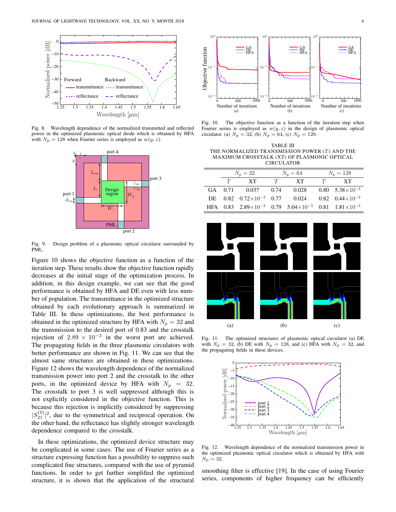

Fig. 8. Wavelength dependence of the normalized transmitted and reflected power in the optimized plasmonic optical diode which is obtained by HFA with  $N_p = 128$  when Fourier series is employed as  $w(y, z)$ .



Fig. 9. Design problem of a plasmonic optical circulator surrounded by PML.

Figure 10 shows the objective function as a function of the iteration step. These results show the objective function rapidly decreases at the initial stage of the optimization process. In addition, in this design example, we can see that the good performance is obtained by HFA and DE even with less number of population. The transmittance in the optimized structure obtained by each evolutionary approach is summarized in Table III. In these optimizations, the best performance is obtained in the optimized structure by HFA with  $N_p = 32$  and the transmission to the desired port of 0.83 and the crosstalk rejection of  $2.89 \times 10^{-3}$  in the worst port are achieved. The propagating fields in the three plasmonic circulators with better performance are shown in Fig. 11. We can see that the almost same structures are obtained in these optimizations. Figure 12 shows the wavelength dependence of the normalized transmission power into port 2 and the crosstalk to the other ports, in the optimized device by HFA with  $N_p = 32$ . The crosstalk to port 3 is well suppressed although this is not explicitly considered in the objective function. This is because this rejection is implicitly considered by suppressing  $|S_{21}^{(0)}|^2$ , due to the symmetrical and reciprocal operation. On the other hand, the reflectance has slightly stronger wavelength dependence compared to the crosstalk.

In these optimizations, the optimized device structure may be complicated in some cases. The use of Fourier series as a structure expressing function has a possibility to suppress such complicated fine structures, compared with the use of pyramid functions. In order to get further simplified the optimized structure, it is shown that the application of the structural



Fig. 10. The objective function as a function of the iteration step when Fourier series is employed as  $w(y, z)$  in the design of plasmonic optical circulator. (a)  $N_p = 32$ , (b)  $N_p = 64$ , (c)  $N_p = 128$ .

TABLE III THE NORMALIZED TRANSMISSION POWER (T) AND THE MAXIMUM CROSSTALK (XT) OF PLASMONIC OPTICAL CIRCULATOR

| $N_n = 32$ |                                                                                            | $N_n = 64$ |                | $N_p = 128$ |                                  |
|------------|--------------------------------------------------------------------------------------------|------------|----------------|-------------|----------------------------------|
| T          | $X$ T                                                                                      | T          | X <sup>T</sup> | T           | - XT                             |
|            | GA 0.71 0.037 0.74                                                                         |            | 0.028          |             | $0.80 \quad 5.38 \times 10^{-3}$ |
|            | DE $0.82 \t 0.72 \times 10^{-3} \t 0.77 \t 0.024 \t 0.82 \t 0.44 \times 10^{-3}$           |            |                |             |                                  |
|            | HFA $0.83$ $2.89 \times 10^{-3}$ $0.79$ $5.04 \times 10^{-3}$ $0.81$ $1.81 \times 10^{-3}$ |            |                |             |                                  |



Fig. 11. The optimized structures of plasmonic optical circulator (a) DE with  $N_p = 32$ , (b) DE with  $N_p = 128$ , and (c) HFA with  $N_p = 32$ , and the propagating fields in these devices.



Fig. 12. Wavelength dependence of the normalized transmission power in the optimized plasmonic optical circulator which is obtained by HFA with  $N_p = 32$ .

smoothing filter is effective [19]. In the case of using Fourier series, components of higher frequency can be efficiently